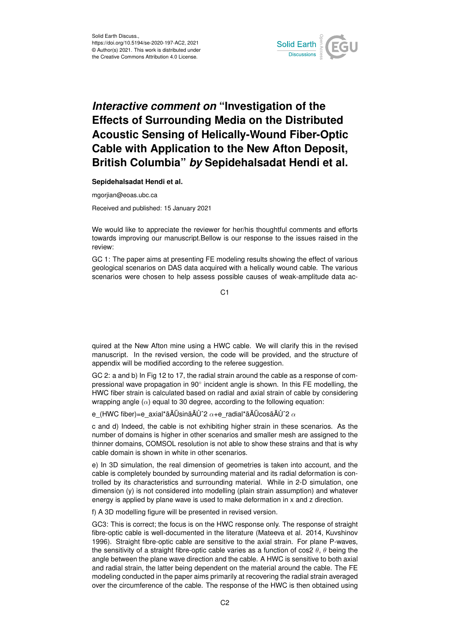

## *Interactive comment on* **"Investigation of the Effects of Surrounding Media on the Distributed Acoustic Sensing of Helically-Wound Fiber-Optic Cable with Application to the New Afton Deposit, British Columbia"** *by* **Sepidehalsadat Hendi et al.**

**Sepidehalsadat Hendi et al.**

mgorjian@eoas.ubc.ca

Received and published: 15 January 2021

We would like to appreciate the reviewer for her/his thoughtful comments and efforts towards improving our manuscript.Bellow is our response to the issues raised in the review:

GC 1: The paper aims at presenting FE modeling results showing the effect of various geological scenarios on DAS data acquired with a helically wound cable. The various scenarios were chosen to help assess possible causes of weak-amplitude data ac-

C1

quired at the New Afton mine using a HWC cable. We will clarify this in the revised manuscript. In the revised version, the code will be provided, and the structure of appendix will be modified according to the referee suggestion.

GC 2: a and b) In Fig 12 to 17, the radial strain around the cable as a response of compressional wave propagation in 90° incident angle is shown. In this FE modelling, the HWC fiber strain is calculated based on radial and axial strain of cable by considering wrapping angle  $(\alpha)$  equal to 30 degree, according to the following equation:

e (HWC fiber)=e\_axial\*ãĂŰsinãĂŮ^2  $\alpha$ +e\_radial\*ãĂŰcosã $\tilde{A}$ Ů^2  $\alpha$ 

c and d) Indeed, the cable is not exhibiting higher strain in these scenarios. As the number of domains is higher in other scenarios and smaller mesh are assigned to the thinner domains, COMSOL resolution is not able to show these strains and that is why cable domain is shown in white in other scenarios.

e) In 3D simulation, the real dimension of geometries is taken into account, and the cable is completely bounded by surrounding material and its radial deformation is controlled by its characteristics and surrounding material. While in 2-D simulation, one dimension (y) is not considered into modelling (plain strain assumption) and whatever energy is applied by plane wave is used to make deformation in x and z direction.

f) A 3D modelling figure will be presented in revised version.

GC3: This is correct; the focus is on the HWC response only. The response of straight fibre-optic cable is well-documented in the literature (Mateeva et al. 2014, Kuvshinov 1996). Straight fibre-optic cable are sensitive to the axial strain. For plane P-waves, the sensitivity of a straight fibre-optic cable varies as a function of cos2  $\theta$ ,  $\theta$  being the angle between the plane wave direction and the cable. A HWC is sensitive to both axial and radial strain, the latter being dependent on the material around the cable. The FE modeling conducted in the paper aims primarily at recovering the radial strain averaged over the circumference of the cable. The response of the HWC is then obtained using